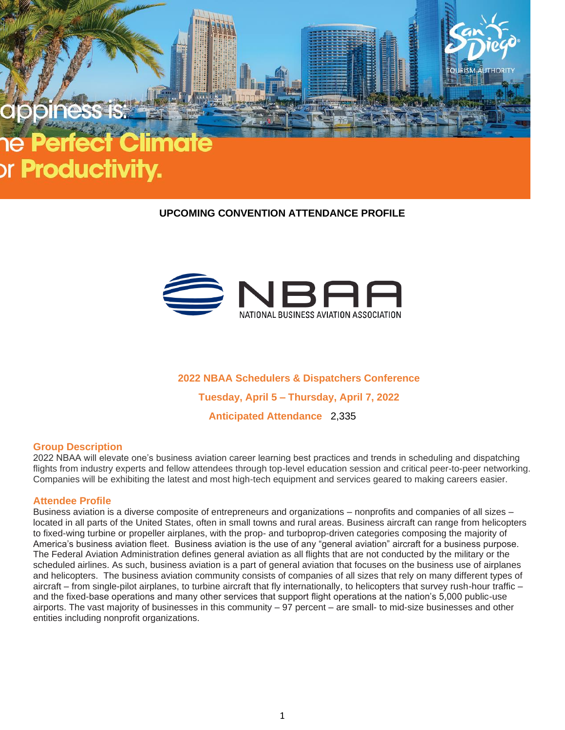# or **Productivity.**

# **UPCOMING CONVENTION ATTENDANCE PROFILE**



**2022 NBAA Schedulers & Dispatchers Conference Tuesday, April 5 – Thursday, April 7, 2022**

**Anticipated Attendance** 2,335

# **Group Description**

2022 NBAA will elevate one's business aviation career learning best practices and trends in scheduling and dispatching flights from industry experts and fellow attendees through top-level education session and critical peer-to-peer networking. Companies will be exhibiting the latest and most high-tech equipment and services geared to making careers easier.

### **Attendee Profile**

Business aviation is a diverse composite of entrepreneurs and organizations – nonprofits and companies of all sizes – located in all parts of the United States, often in small towns and rural areas. Business aircraft can range from helicopters to fixed-wing turbine or propeller airplanes, with the prop- and turboprop-driven categories composing the majority of America's business aviation fleet. Business aviation is the use of any "general aviation" aircraft for a business purpose. The Federal Aviation Administration defines general aviation as all flights that are not conducted by the military or the scheduled airlines. As such, business aviation is a part of general aviation that focuses on the business use of airplanes and helicopters. The business aviation community consists of companies of all sizes that rely on many different types of aircraft – from single-pilot airplanes, to turbine aircraft that fly internationally, to helicopters that survey rush-hour traffic – and the fixed-base operations and many other services that support flight operations at the nation's 5,000 public-use airports. The vast majority of businesses in this community – 97 percent – are small- to mid-size businesses and other entities including nonprofit organizations.